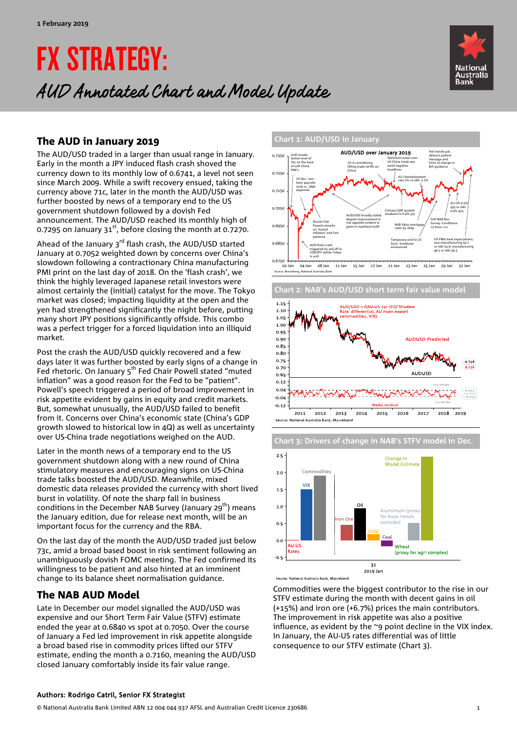# FX STRATEGY: AUD Annotated Chart and Model Update



## The AUD in January 2019

The AUD/USD traded in a larger than usual range in January. Early in the month a JPY induced flash crash shoved the currency down to its monthly low of 0.6741, a level not seen since March 2009. While a swift recovery ensued, taking the currency above 71c, later in the month the AUD/USD was further boosted by news of a temporary end to the US government shutdown followed by a dovish Fed announcement. The AUD/USD reached its monthly high of 0.7295 on January  $31^{st}$ , before closing the month at 0.7270.

Ahead of the January  $3^{rd}$  flash crash, the AUD/USD started January at 0.7052 weighted down by concerns over China's slowdown following a contractionary China manufacturing PMI print on the last day of 2018. On the 'flash crash', we think the highly leveraged Japanese retail investors were almost certainly the (initial) catalyst for the move. The Tokyo market was closed; impacting liquidity at the open and the yen had strengthened significantly the night before, putting many short JPY positions significantly offside. This combo was a perfect trigger for a forced liquidation into an illiquid market.

Post the crash the AUD/USD quickly recovered and a few days later it was further boosted by early signs of a change in Fed rhetoric. On January 5<sup>th</sup> Fed Chair Powell stated "muted inflation" was a good reason for the Fed to be "patient". Powell's speech triggered a period of broad improvement in risk appetite evident by gains in equity and credit markets. But, somewhat unusually, the AUD/USD failed to benefit from it. Concerns over China's economic state (China's GDP growth slowed to historical low in 4Q) as well as uncertainty over US-China trade negotiations weighed on the AUD.

Later in the month news of a temporary end to the US government shutdown along with a new round of China stimulatory measures and encouraging signs on US-China trade talks boosted the AUD/USD. Meanwhile, mixed domestic data releases provided the currency with short lived burst in volatility. Of note the sharp fall in business conditions in the December NAB Survey (January 29<sup>th</sup>) means the January edition, due for release next month, will be an important focus for the currency and the RBA.

On the last day of the month the AUD/USD traded just below 73c, amid a broad based boost in risk sentiment following an unambiguously dovish FOMC meeting. The Fed confirmed its willingness to be patient and also hinted at an imminent change to its balance sheet normalisation guidance.

### The NAB AUD Model

Late in December our model signalled the AUD/USD was expensive and our Short Term Fair Value (STFV) estimate ended the year at 0.6840 vs spot at 0.7050. Over the course of January a Fed led improvement in risk appetite alongside a broad based rise in commodity prices lifted our STFV estimate, ending the month a 0.7160, meaning the AUD/USD closed January comfortably inside its fair value range.



02 Jan 04 Jan 08 Jan 11 Jan 15 Jan 17 Jan 21 Jan 23 Jan 25 Jan 29 Jan 31 Jan .<br>Se: Bloomberg, National Australia Bank



**Chart 3: Drivers of change in NAB's STFV model in Dec.** 



Source: National Australia Bank, Macrobond

Commodities were the biggest contributor to the rise in our STFV estimate during the month with decent gains in oil (+15%) and iron ore (+6.7%) prices the main contributors. The improvement in risk appetite was also a positive influence, as evident by the ~9 point decline in the VIX index. In January, the AU-US rates differential was of little consequence to our STFV estimate (Chart 3).

#### Authors: Rodrigo Catril, Senior FX Strategist